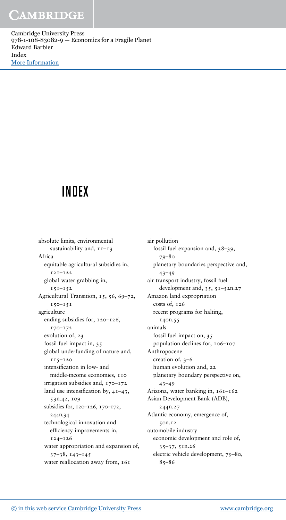Cambridge University Press 978-1-108-83082-9 — Economics for a Fragile Planet Edward Barbier Index [More Information](www.cambridge.org/9781108830829)

# INDEX

absolute limits, environmental sustainability and,  $11-13$ Africa equitable agricultural subsidies in, 121–122 global water grabbing in, 151–152 Agricultural Transition, 15, 56, 69-72, 150–151 agriculture ending subsidies for, 120–126, 170–172 evolution of, 23 fossil fuel impact in, 35 global underfunding of nature and, 115–120 intensification in low- and middle-income economies, 110 irrigation subsidies and, 170–172 land use intensification by, 41–43, 53n.42, 109 subsidies for, 120–126, 170–172, 244n.34 technological innovation and efficiency improvements in, 124–126 water appropriation and expansion of, 37–38, 143–145 water reallocation away from, 161

air pollution fossil fuel expansion and, 38–39, 79–80 planetary boundaries perspective and, 43–49 air transport industry, fossil fuel development and, 35, 51–52n.27 Amazon land expropriation costs of, 126 recent programs for halting, 140n.55 animals fossil fuel impact on, 35 population declines for, 106–107 Anthropocene creation of, 3–6 human evolution and, 22 planetary boundary perspective on, 43–49 Arizona, water banking in, 161–162 Asian Development Bank (ADB), 244n.27 Atlantic economy, emergence of, 50n.12 automobile industry economic development and role of, 35–37, 51n.26 electric vehicle development, 79–80,  $85 - 86$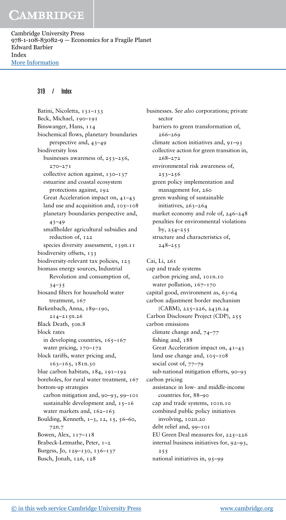Cambridge University Press 978-1-108-83082-9 — Economics for a Fragile Planet Edward Barbier Index [More Information](www.cambridge.org/9781108830829)

#### 319 / Index

Batini, Nicoletta, 131-133 Beck, Michael, 190–191 Binswanger, Hans, 114 biochemical flows, planetary boundaries perspective and, 43–49 biodiversity loss businesses awareness of, 253–256, 270–271 collective action against, 130–137 estuarine and coastal ecosystem protections against, 192 Great Acceleration impact on, 41–43 land use and acquisition and, 105–108 planetary boundaries perspective and,  $43 - 49$ smallholder agricultural subsidies and reduction of, 122 species diversity assessment, 139n.11 biodiversity offsets, 133 biodiversity-relevant tax policies, 123 biomass energy sources, Industrial Revolution and consumption of, 34–35 biosand filters for household water treatment, 167 Birkenbach, Anna, 189-190, 214–215n.26 Black Death, 50n.8 block rates in developing countries, 165–167 water pricing, 170-172 block tariffs, water pricing and, 163–165, 181n.30 blue carbon habitats, 184, 191–192 boreholes, for rural water treatment, 167 bottom-up strategies carbon mitigation and, 90–93, 99–101 sustainable development and, 15-16 water markets and, 162–163 Boulding, Kenneth, 1–3, 12, 15, 56–60, 72n.7 Bowen, Alex, 117–118 Brabeck-Letmathe, Peter, 1–2 Burgess, Jo, 129–130, 136–137 Busch, Jonah, 126, 128

businesses. *See also* corporations; private sector barriers to green transformation of, 266–269 climate action initiatives and, 91–93 collective action for green transition in, 268–272 environmental risk awareness of, 253–256 green policy implementation and management for, 260 green washing of sustainable initiatives, 263–264 market economy and role of, 246–248 penalties for environmental violations by, 254–255 structure and characteristics of,  $248 - 253$ Cai, Li, 261 cap and trade systems carbon pricing and, 101n.10 water pollution, 167-170 capital good, environment as, 63–64 carbon adjustment border mechanism (CABM), 225–226, 243n.24 Carbon Disclosure Project (CDP), 255 carbon emissions climate change and, 74–77 fishing and, 188 Great Acceleration impact on, 41–43 land use change and, 105–108 social cost of, 77–79 sub-national mitigation efforts, 90–93 carbon pricing assistance in low- and middle-income countries for, 88–90 cap and trade systems, 101n.10 combined public policy initiatives involving, 102n.20 debt relief and, 99–101 EU Green Deal measures for, 225–226 internal business initiatives for, 92–93, 255 national initiatives in, 95–99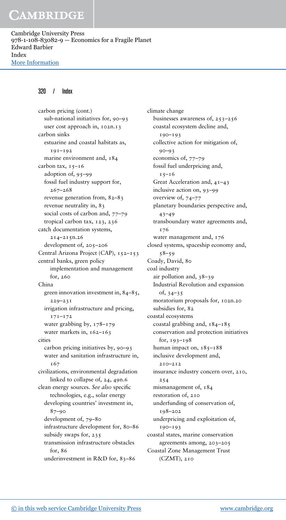Cambridge University Press 978-1-108-83082-9 — Economics for a Fragile Planet Edward Barbier Index [More Information](www.cambridge.org/9781108830829)

### 320 / Index

carbon pricing (cont.) sub-national initiatives for, 90–93 user cost approach in, 102n.13 carbon sinks estuarine and coastal habitats as, 191–192 marine environment and, 184 carbon tax,  $15-16$ adoption of, 95–99 fossil fuel industry support for, 267–268 revenue generation from, 82–83 revenue neutrality in, 83 social costs of carbon and, 77–79 tropical carbon tax, 123, 236 catch documentation systems, 214–215n.26 development of, 205–206 Central Arizona Project (CAP), 152-153 central banks, green policy implementation and management for, 260 China green innovation investment in, 84–85, 229–231 irrigation infrastructure and pricing, 171–172 water grabbing by, 178–179 water markets in, 162–163 cities carbon pricing initiatives by, 90–93 water and sanitation infrastructure in, T67 civilizations, environmental degradation linked to collapse of, 24, 49n.6 clean energy sources. *See also* specific technologies, e.g., solar energy developing countries' investment in, 87–90 development of, 79–80 infrastructure development for, 80–86 subsidy swaps for, 235 transmission infrastructure obstacles for, 86 underinvestment in R&D for, 83–86

climate change businesses awareness of, 253–256 coastal ecosystem decline and, 190–193 collective action for mitigation of, 90–93 economics of, 77–79 fossil fuel underpricing and,  $15-16$ Great Acceleration and, 41–43 inclusive action on, 93–99 overview of, 74–77 planetary boundaries perspective and, 43–49 transboundary water agreements and, 176 water management and, 176 closed systems, spaceship economy and, 58–59 Coady, David, 80 coal industry air pollution and, 38–39 Industrial Revolution and expansion of, 34–35 moratorium proposals for, 102n.20 subsidies for, 82 coastal ecosystems coastal grabbing and,  $184-185$ conservation and protection initiatives for, 193–198 human impact on,  $185 - 188$ inclusive development and, 210–212 insurance industry concern over, 210, 254 mismanagement of, 184 restoration of, 210 underfunding of conservation of, 198–202 underpricing and exploitation of, 190–193 coastal states, marine conservation agreements among, 203–205 Coastal Zone Management Trust (CZMT), 210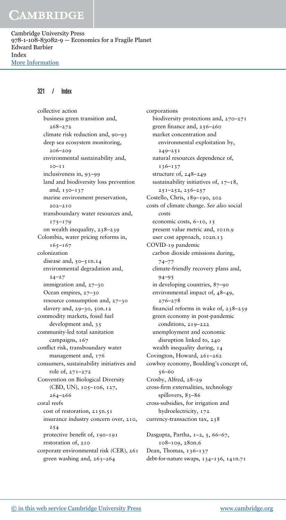Cambridge University Press 978-1-108-83082-9 — Economics for a Fragile Planet Edward Barbier Index [More Information](www.cambridge.org/9781108830829)

### 321 / Index

collective action business green transition and, 268–272 climate risk reduction and, 90–93 deep sea ecosystem monitoring, 206–209 environmental sustainability and,  $10 - 11$ inclusiveness in, 93–99 land and biodiversity loss prevention and, 130–137 marine environment preservation, 202–210 transboundary water resources and, 175–179 on wealth inequality, 238–239 Colombia, water pricing reforms in, 165–167 colonization disease and, 50-51n.14 environmental degradation and,  $24 - 27$ immigration and, 27–30 Ocean empires, 27–30 resource consumption and, 27–30 slavery and, 29–30, 50n.12 commodity markets, fossil fuel development and, 35 community-led total sanitation campaigns, 167 conflict risk, transboundary water management and, 176 consumers, sustainability initiatives and role of, 271–272 Convention on Biological Diversity (CBD, UN), 105–106, 127, 264–266 coral reefs cost of restoration, 215n.51 insurance industry concern over, 210, 254 protective benefit of, 190–191 restoration of, 210 corporate environmental risk (CER), 261 green washing and, 263–264

corporations biodiversity protections and, 270–271 green finance and, 256–260 market concentration and environmental exploitation by,  $249 - 251$ natural resources dependence of, 136–137 structure of, 248–249 sustainability initiatives of, 17–18, 251–252, 256–257 Costello, Chris, 189–190, 202 costs of climate change. *See also* social costs economic costs, 6–10, 15 present value metric and, 101n.9 user cost approach, 102n.13 COVID-19 pandemic carbon dioxide emissions during, 74–77 climate-friendly recovery plans and,  $94 - 95$ in developing countries, 87–90 environmental impact of, 48–49, 276–278 financial reforms in wake of, 238–239 green economy in post-pandemic conditions, 219–222 unemployment and economic disruption linked to, 240 wealth inequality during, 14 Covington, Howard, 261–262 cowboy economy, Boulding's concept of, 56–60 Crosby, Alfred, 28–29 cross-firm externalities, technology spillovers, 83-86 cross-subsidies, for irrigation and hydroelectricity, 172 currency-transaction tax, 238 Dasgupta, Partha, 1–2, 5, 66–67, 108–109, 280n.6

Dean, Thomas, 136–137 debt-for-nature swaps, 134–136, 141n.71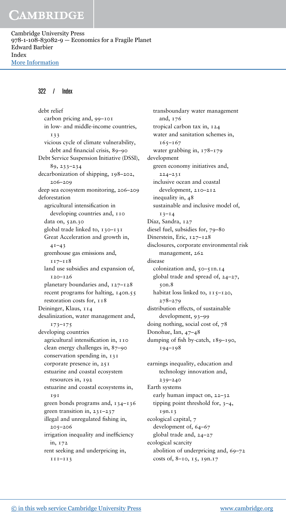Cambridge University Press 978-1-108-83082-9 — Economics for a Fragile Planet Edward Barbier Index [More Information](www.cambridge.org/9781108830829)

### 322 / Index

debt relief carbon pricing and, 99–101 in low- and middle-income countries, 133 vicious cycle of climate vulnerability, debt and financial crisis, 89–90 Debt Service Suspension Initiative (DSSI), 89, 233–234 decarbonization of shipping, 198–202, 206–209 deep sea ecosystem monitoring, 206–209 deforestation agricultural intensification in developing countries and, 110 data on, 52n.30 global trade linked to, 130–131 Great Acceleration and growth in,  $41 - 43$ greenhouse gas emissions and, 117–118 land use subsidies and expansion of, 120–126 planetary boundaries and, 127–128 recent programs for halting, 140n.55 restoration costs for, 118 Deininger, Klaus, 114 desalinization, water management and, 173–175 developing countries agricultural intensification in, 110 clean energy challenges in, 87–90 conservation spending in, 131 corporate presence in, 251 estuarine and coastal ecosystem resources in, 192 estuarine and coastal ecosystems in, 191 green bonds programs and, 134–136 green transition in, 231–237 illegal and unregulated fishing in, 205–206 irrigation inequality and inefficiency in, 172 rent seeking and underpricing in, 111–113

transboundary water management and, 176 tropical carbon tax in, 124 water and sanitation schemes in, 165–167 water grabbing in, 178–179 development green economy initiatives and,  $224 - 231$ inclusive ocean and coastal development, 210–212 inequality in, 48 sustainable and inclusive model of,  $13 - 14$ Díaz, Sandra, 127 diesel fuel, subsidies for, 79–80 Dinerstein, Eric, 127–128 disclosures, corporate environmental risk management, 262 disease colonization and, 50–51n.14 global trade and spread of, 24–27, 50n.8 habitat loss linked to,  $115 - 120$ , 278–279 distribution effects, of sustainable development, 93–99 doing nothing, social cost of, 78 Donohue, Ian, 47–48 dumping of fish by-catch, 189–190, 194–198 earnings inequality, education and

technology innovation and, 239–240 Earth systems early human impact on, 22–32 tipping point threshold for, 3–4, 19n.13 ecological capital, 7 development of, 64–67 global trade and, 24–27 ecological scarcity abolition of underpricing and, 69–72 costs of, 8–10, 15, 19n.17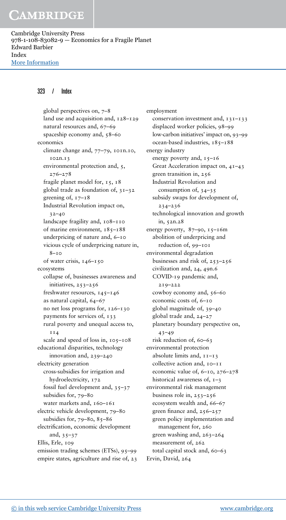Cambridge University Press 978-1-108-83082-9 — Economics for a Fragile Planet Edward Barbier Index [More Information](www.cambridge.org/9781108830829)

### 323 / Index

global perspectives on, 7–8 land use and acquisition and, 128–129 natural resources and, 67–69 spaceship economy and, 58–60 economics climate change and, 77–79, 101n.10, 102n.13 environmental protection and, 5, 276–278 fragile planet model for, 15, 18 global trade as foundation of, 31–32 greening of,  $17 - 18$ Industrial Revolution impact on, 32–40 landscape fragility and, 108–110 of marine environment,  $185 - 188$ underpricing of nature and, 6–10 vicious cycle of underpricing nature in, 8–10 of water crisis, 146–150 ecosystems collapse of, businesses awareness and initiatives, 253–256 freshwater resources, 145–146 as natural capital, 64–67 no net loss programs for, 126–130 payments for services of, 133 rural poverty and unequal access to, **114** scale and speed of loss in, 105–108 educational disparities, technology innovation and, 239–240 electricity generation cross-subsidies for irrigation and hydroelectricity, 172 fossil fuel development and, 35–37 subsidies for, 79–80 water markets and, 160-161 electric vehicle development, 79–80 subsidies for,  $79 - 80$ ,  $85 - 86$ electrification, economic development and, 35–37 Ellis, Erle, 109 emission trading schemes (ETSs), 95–99 empire states, agriculture and rise of, 23

employment conservation investment and,  $131-133$ displaced worker policies, 98–99 low-carbon initiatives' impact on, 93–99 ocean-based industries, 185–188 energy industry energy poverty and, 15-16 Great Acceleration impact on, 41–43 green transition in, 256 Industrial Revolution and consumption of, 34–35 subsidy swaps for development of, 234–236 technological innovation and growth in, 52n.28 energy poverty,  $87-90$ ,  $15-16$ m abolition of underpricing and reduction of, 99–101 environmental degradation businesses and risk of, 253–256 civilization and, 24, 49n.6 COVID-19 pandemic and, 219–222 cowboy economy and, 56–60 economic costs of, 6–10 global magnitude of, 39–40 global trade and, 24–27 planetary boundary perspective on, 43–49 risk reduction of, 60–63 environmental protection absolute limits and, 11–13 collective action and, 10–11 economic value of, 6–10, 276–278 historical awareness of,  $1-3$ environmental risk management business role in, 253–256 ecosystem wealth and, 66–67 green finance and, 256–257 green policy implementation and management for, 260 green washing and, 263–264 measurement of, 262 total capital stock and, 60–63 Ervin, David, 264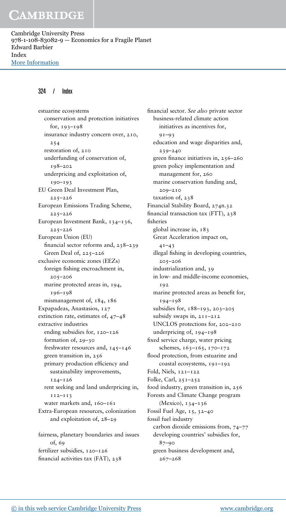Cambridge University Press 978-1-108-83082-9 — Economics for a Fragile Planet Edward Barbier Index [More Information](www.cambridge.org/9781108830829)

#### 324 / Index

estuarine ecosystems conservation and protection initiatives for, 193–198 insurance industry concern over, 210, 254 restoration of, 210 underfunding of conservation of, 198–202 underpricing and exploitation of, 190–193 EU Green Deal Investment Plan, 225–226 European Emissions Trading Scheme, 225–226 European Investment Bank, 134–136, 225–226 European Union (EU) financial sector reforms and, 238–239 Green Deal of, 225–226 exclusive economic zones (EEZs) foreign fishing encroachment in, 205–206 marine protected areas in, 194, 196–198 mismanagement of, 184, 186 Expapadeas, Anastasios, 127 extinction rate, estimates of, 47–48 extractive industries ending subsidies for, 120–126 formation of, 29–30 freshwater resources and, 145–146 green transition in, 256 primary production efficiency and sustainability improvements, 124–126 rent seeking and land underpricing in, 112–113 water markets and, 160-161 Extra-European resources, colonization and exploitation of, 28–29 fairness, planetary boundaries and issues of, 69 fertilizer subsidies, 120–126 financial activities tax (FAT), 238

financial sector. *See also* private sector business-related climate action initiatives as incentives for, 91–93 education and wage disparities and, 239–240 green finance initiatives in, 256–260 green policy implementation and management for, 260 marine conservation funding and, 209–210 taxation of, 238 Financial Stability Board, 274n.32 financial transaction tax (FTT), 238 fisheries global increase in, 183 Great Acceleration impact on,  $41 - 43$ illegal fishing in developing countries, 205–206 industrialization and, 39 in low- and middle-income economies, 102 marine protected areas as benefit for, 194–198 subsidies for, 188–193, 203–205 subsidy swaps in, 211–212 UNCLOS protections for, 202–210 underpricing of, 194–198 fixed service charge, water pricing schemes, 163–165, 170–172 flood protection, from estuarine and coastal ecosystems, 191–192 Fold, Niels, 121–122 Folke, Carl, 251–252 food industry, green transition in, 256 Forests and Climate Change program (Mexico), 134–136 Fossil Fuel Age, 15, 32–40 fossil fuel industry carbon dioxide emissions from, 74–77 developing countries' subsidies for, 87–90 green business development and, 267–268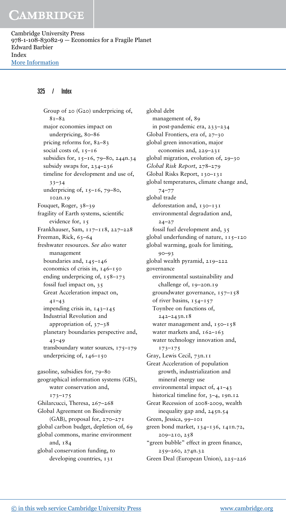Cambridge University Press 978-1-108-83082-9 — Economics for a Fragile Planet Edward Barbier Index [More Information](www.cambridge.org/9781108830829)

### 325 / Index

Group of 20 (G20) underpricing of,  $8 - 82$ major economies impact on underpricing, 80–86 pricing reforms for, 82–83 social costs of,  $15-16$ subsidies for, 15–16, 79–80, 244n.34 subsidy swaps for, 234–236 timeline for development and use of,  $33 - 34$ underpricing of,  $15-16$ ,  $79-80$ , 102n.19 Fouquet, Roger, 38–39 fragility of Earth systems, scientific evidence for,  $15$ Frankhauser, Sam, 117–118, 227–228 Freeman, Rick, 63-64 freshwater resources. *See also* water management boundaries and,  $145 - 146$ economics of crisis in, 146–150 ending underpricing of,  $158-173$ fossil fuel impact on, 35 Great Acceleration impact on,  $4I-43$ impending crisis in,  $143-145$ Industrial Revolution and appropriation of, 37–38 planetary boundaries perspective and, 43–49 transboundary water sources, 175–179 underpricing of, 146–150 gasoline, subsidies for, 79–80 geographical information systems (GIS), water conservation and, 173–175 Ghilarcucci, Theresa, 267–268 Global Agreement on Biodiversity (GAB), proposal for, 270–271 global carbon budget, depletion of, 69 global commons, marine environment

and, 184 global conservation funding, to developing countries, 131

global debt management of, 89 in post-pandemic era, 233–234 Global Frontiers, era of, 27–30 global green innovation, major economies and, 229–231 global migration, evolution of, 29–30 *Global Risk Report*, 278–279 Global Risks Report, 130–131 global temperatures, climate change and, 74–77 global trade deforestation and, 130–131 environmental degradation and,  $24 - 27$ fossil fuel development and, 35 global underfunding of nature,  $115-120$ global warming, goals for limiting, 90–93 global wealth pyramid, 219–222 governance environmental sustainability and challenge of, 19–20n.19 groundwater governance,  $157 - 158$ of river basins, 154–157 Toynbee on functions of, 242–243n.18 water management and,  $150 - 158$ water markets and, 162–163 water technology innovation and, 173–175 Gray, Lewis Cecil, 73n.11 Great Acceleration of population growth, industrialization and mineral energy use environmental impact of, 41–43 historical timeline for, 3-4, 19n.12 Great Recession of 2008-2009, wealth inequality gap and, 245n.54 Green, Jessica, 99–101 green bond market, 134–136, 141n.72, 209–210, 258 "green bubble" effect in green finance, 259–260, 274n.32 Green Deal (European Union), 225–226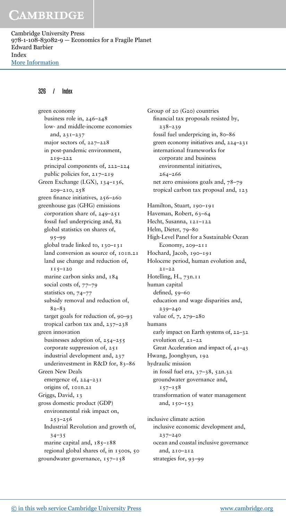Cambridge University Press 978-1-108-83082-9 — Economics for a Fragile Planet Edward Barbier Index [More Information](www.cambridge.org/9781108830829)

#### 326 / Index

green economy business role in, 246–248 low- and middle-income economies and, 231–237 major sectors of, 227–228 in post-pandemic environment, 219–222 principal components of, 222–224 public policies for, 217–219 Green Exchange (LGX), 134-136, 209–210, 258 green finance initiatives, 256–260 greenhouse gas (GHG) emissions corporation share of, 249–251 fossil fuel underpricing and, 82 global statistics on shares of, 95–99 global trade linked to,  $130 - 131$ land conversion as source of, 101n.21 land use change and reduction of, 115–120 marine carbon sinks and, 184 social costs of, 77-79 statistics on, 74–77 subsidy removal and reduction of,  $82 - 83$ target goals for reduction of, 90–93 tropical carbon tax and, 237–238 green innovation businesses adoption of, 254–255 corporate suppression of, 251 industrial development and, 237 underinvestment in R&D for, 83-86 Green New Deals emergence of, 224–231 origins of, 101n.21 Griggs, David, 13 gross domestic product (GDP) environmental risk impact on,  $253 - 256$ Industrial Revolution and growth of,  $34 - 35$ marine capital and,  $185 - 188$ regional global shares of, in 1500s, 50 groundwater governance,  $157 - 158$ 

Group of 20 (G20) countries financial tax proposals resisted by, 238–239 fossil fuel underpricing in, 80–86 green economy initiatives and, 224–231 international frameworks for corporate and business environmental initiatives, 264–266 net zero emissions goals and, 78–79 tropical carbon tax proposal and, 123 Hamilton, Stuart, 190-191 Haveman, Robert, 63-64 Hecht, Susanna, 121–122 Helm, Dieter, 79–80 High-Level Panel for a Sustainable Ocean Economy, 209–211 Hochard, Jacob, 190–191 Holocene period, human evolution and,  $2.1 - 2.2$ Hotelling, H., 73n.11 human capital defined, 59–60 education and wage disparities and, 239–240 value of, 7, 279–280 humans early impact on Earth systems of, 22–32 evolution of, 21–22 Great Acceleration and impact of, 41–43 Hwang, Joonghyun, 192 hydraulic mission in fossil fuel era, 37–38, 52n.32 groundwater governance and,  $157 - 158$ transformation of water management and, 150–153 inclusive climate action inclusive economic development and, 237–240 ocean and coastal inclusive governance and, 210–212

strategies for, 93–99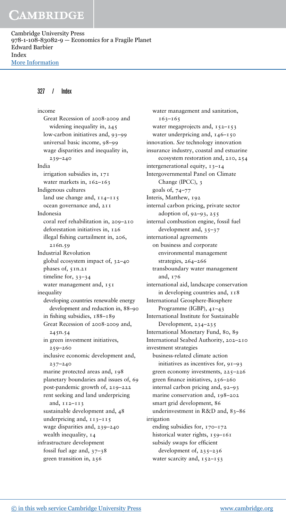Cambridge University Press 978-1-108-83082-9 — Economics for a Fragile Planet Edward Barbier Index [More Information](www.cambridge.org/9781108830829)

#### 327 / Index

income Great Recession of 2008-2009 and widening inequality in, 245 low-carbon initiatives and, 93–99 universal basic income, 98–99 wage disparities and inequality in, 239–240 India irrigation subsidies in, 171 water markets in, 162-163 Indigenous cultures land use change and,  $114-115$ ocean governance and, 211 Indonesia coral reef rehabilitation in, 209–210 deforestation initiatives in, 126 illegal fishing curtailment in, 206, 216n.59 Industrial Revolution global ecosystem impact of, 32–40 phases of, 5In.21 timeline for, 33-34 water management and, 151 inequality developing countries renewable energy development and reduction in, 88–90 in fishing subsidies, 188–189 Great Recession of 2008-2009 and, 245n.54 in green investment initiatives, 259–260 inclusive economic development and, 237–240 marine protected areas and, 198 planetary boundaries and issues of, 69 post-pandemic growth of, 219–222 rent seeking and land underpricing and, 112–113 sustainable development and, 48 underpricing and,  $113 - 115$ wage disparities and, 239–240 wealth inequality,  $14$ infrastructure development fossil fuel age and, 37–38 green transition in, 256

water management and sanitation, 163–165 water megaprojects and,  $152 - 153$ water underpricing and, 146-150 innovation. *See* technology innovation insurance industry, coastal and estuarine ecosystem restoration and, 210, 254 intergenerational equity, 13–14 Intergovernmental Panel on Climate Change (IPCC), 3 goals of, 74–77 Interis, Matthew, 192 internal carbon pricing, private sector adoption of, 92–93, 255 internal combustion engine, fossil fuel development and, 35–37 international agreements on business and corporate environmental management strategies, 264–266 transboundary water management and, 176 international aid, landscape conservation in developing countries and, 118 International Geosphere-Biosphere Programme (IGBP), 41–43 International Institute for Sustainable Development, 234–235 International Monetary Fund, 80, 89 International Seabed Authority, 202–210 investment strategies business-related climate action initiatives as incentives for, 91–93 green economy investments, 225–226 green finance initiatives, 256–260 internal carbon pricing and, 92–93 marine conservation and, 198–202 smart grid development, 86 underinvestment in R&D and, 83–86 irrigation ending subsidies for, 170-172 historical water rights,  $159 - 161$ subsidy swaps for efficient development of, 235–236 water scarcity and,  $152 - 153$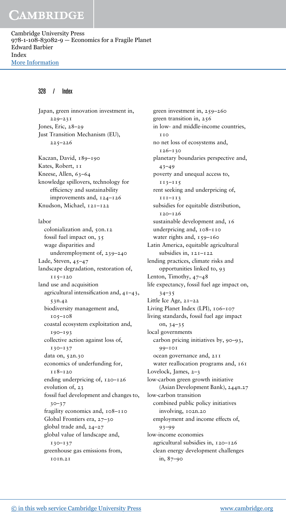Cambridge University Press 978-1-108-83082-9 — Economics for a Fragile Planet Edward Barbier Index [More Information](www.cambridge.org/9781108830829)

#### 328 / Index

Japan, green innovation investment in, 229–231 Jones, Eric, 28–29 Just Transition Mechanism (EU), 225–226 Kaczan, David, 189–190 Kates, Robert, 11 Kneese, Allen, 63-64 knowledge spillovers, technology for efficiency and sustainability improvements and, 124–126 Knudson, Michael, 121–122 labor colonialization and, 50n.12 fossil fuel impact on, 35 wage disparities and underemployment of, 239–240 Lade, Steven, 45–47 landscape degradation, restoration of, 115–120 land use and acquisition agricultural intensification and, 41–43, 53n.42 biodiversity management and, 105–108 coastal ecosystem exploitation and, 190–193 collective action against loss of, 130–137 data on, 52n.30 economics of underfunding for, 118–120 ending underpricing of, 120–126 evolution of, 23 fossil fuel development and changes to,  $30 - 37$ fragility economics and, 108–110 Global Frontiers era, 27–30 global trade and, 24–27 global value of landscape and, 130–137 greenhouse gas emissions from,  $TOTD.2T$ 

green investment in, 259–260 green transition in, 256 in low- and middle-income countries,  $T$  $T<sub>O</sub>$ no net loss of ecosystems and, 126–130 planetary boundaries perspective and,  $43 - 49$ poverty and unequal access to, 113–115 rent seeking and underpricing of, 111–113 subsidies for equitable distribution, 120–126 sustainable development and, 16 underpricing and, 108–110 water rights and, 159-160 Latin America, equitable agricultural subsidies in, 121–122 lending practices, climate risks and opportunities linked to, 93 Lenton, Timothy, 47–48 life expectancy, fossil fuel age impact on,  $34 - 35$ Little Ice Age, 21–22 Living Planet Index (LPI), 106-107 living standards, fossil fuel age impact on, 34–35 local governments carbon pricing initiatives by, 90–93, 99–101 ocean governance and, 211 water reallocation programs and,  $161$ Lovelock, James, 2–3 low-carbon green growth initiative (Asian Development Bank), 244n.27 low-carbon transition combined public policy initiatives involving, 102n.20 employment and income effects of, 93–99 low-income economies agricultural subsidies in, 120–126 clean energy development challenges in, 87–90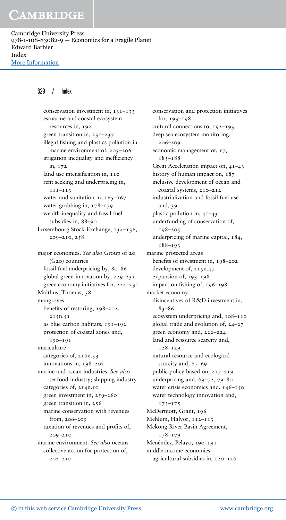Cambridge University Press 978-1-108-83082-9 — Economics for a Fragile Planet Edward Barbier Index [More Information](www.cambridge.org/9781108830829)

### 329 / Index

conservation investment in, 131–133 estuarine and coastal ecosystem resources in, 192 green transition in, 231–237 illegal fishing and plastics pollution in marine environment of, 205–206 irrigation inequality and inefficiency in, 172 land use intensification in, 110 rent seeking and underpricing in, 111–113 water and sanitation in,  $165 - 167$ water grabbing in, 178–179 wealth inequality and fossil fuel subsidies in, 88–90 Luxembourg Stock Exchange, 134–136, 209–210, 258 major economies. *See also* Group of 20 (G20) countries fossil fuel underpricing by, 80–86 global green innovation by, 229–231 green economy initiatives for, 224–231 Malthus, Thomas, 58 mangroves benefits of restoring, 198–202, 215n.51 as blue carbon habitats, 191–192 protection of coastal zones and, 190–191 mariculture categories of, 216n.53 innovations in, 198–202 marine and ocean industries. *See also* seafood industry; shipping industry categories of, 214n.10 green investment in, 259–260 green transition in, 256 marine conservation with revenues from, 206–209 taxation of revenues and profits of, 209–210 marine environment. *See also* oceans collective action for protection of, 202–210

conservation and protection initiatives for, 193–198 cultural connections to, 192–193 deep sea ecosystem monitoring, 206–209 economic management of, 17, 185–188 Great Acceleration impact on, 41–43 history of human impact on, 187 inclusive development of ocean and coastal systems, 210–212 industrialization and fossil fuel use and, 39 plastic pollution in, 41–43 underfunding of conservation of, 198–205 underpricing of marine capital, 184, 188–193 marine protected areas benefits of investment in, 198–202 development of, 215n.47 expansion of, 193–198 impact on fishing of, 196–198 market economy disincentives of R&D investment in, 83–86 ecosystem underpricing and, 108–110 global trade and evolution of, 24–27 green economy and, 222–224 land and resource scarcity and, 128–129 natural resource and ecological scarcity and, 67–69 public policy based on, 217–219 underpricing and, 69–72, 79–80 water crisis economics and, 146-150 water technology innovation and, 173–175 McDermott, Grant, 196 Mehlum, Halvor, 112–113 Mekong River Basin Agreement, 178–179 Menéndez, Pelayo, 190–191 middle-income economies agricultural subsidies in, 120–126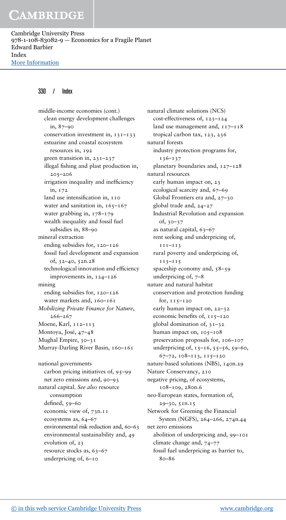Cambridge University Press 978-1-108-83082-9 — Economics for a Fragile Planet Edward Barbier Index [More Information](www.cambridge.org/9781108830829)

### 330 / Index

middle-income economies (cont.) clean energy development challenges in, 87–90 conservation investment in, 131-133 estuarine and coastal ecosystem resources in, 192 green transition in, 231–237 illegal fishing and plast production in, 205–206 irrigation inequality and inefficiency in, 172 land use intensification in, 110 water and sanitation in,  $165 - 167$ water grabbing in, 178–179 wealth inequality and fossil fuel subsidies in, 88–90 mineral extraction ending subsidies for, 120–126 fossil fuel development and expansion of, 32–40, 52n.28 technological innovation and efficiency improvements in, 124–126 mining ending subsidies for, 120–126 water markets and, 160-161 *Mobilizing Private Finance for Nature*, 266–267 Moene, Karl, 112–113 Montoya, José, 47–48 Mughal Empire, 30–31 Murray-Darling River Basin, 160-161 national governments carbon pricing initiatives of, 95–99 net zero emissions and, 90–93 natural capital. *See also* resource consumption defined, 59–60 economic view of, 73n.11 ecosystems as, 64–67 environmental risk reduction and, 60–63 environmental sustainability and, 49 evolution of, 23 resource stocks as, 63–67 underpricing of, 6–10

natural climate solutions (NCS) cost-effectiveness of, 123–124 land use management and,  $117 - 118$ tropical carbon tax, 123, 236 natural forests industry protection programs for, 136–137 planetary boundaries and, 127–128 natural resources early human impact on, 23 ecological scarcity and, 67–69 Global Frontiers era and, 27–30 global trade and, 24–27 Industrial Revolution and expansion of, 30–37 as natural capital, 63–67 rent seeking and underpricing of, 111–113 rural poverty and underpricing of, 113–115 spaceship economy and, 58–59 underpricing of,  $7-8$ nature and natural habitat conservation and protection funding for, 115–120 early human impact on, 22–32 economic benefits of, 115-120 global domination of, 31–32 human impact on, 105-108 preservation proposals for, 106–107 underpricing of,  $15-16$ ,  $55-56$ ,  $59-60$ , 67–72, 108–113, 115–120 nature-based solutions (NBS), 140n.29 Nature Conservancy, 210 negative pricing, of ecosystems, 108–109, 280n.6 neo-European states, formation of, 29–30, 51n.15 Network for Greening the Financial System (NGFS), 264–266, 274n.44 net zero emissions abolition of underpricing and, 99–101 climate change and, 74–77 fossil fuel underpricing as barrier to,  $80 - 86$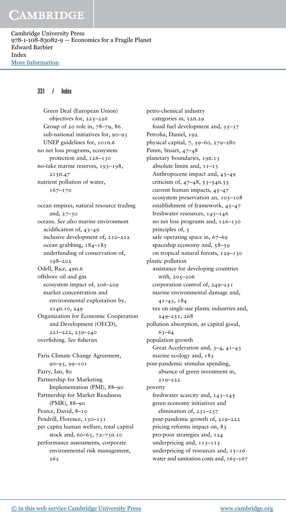Cambridge University Press 978-1-108-83082-9 — Economics for a Fragile Planet Edward Barbier Index [More Information](www.cambridge.org/9781108830829)

#### 331 / Index

Green Deal (European Union) objectives for, 225–226 Group of 20 role in, 78–79, 86 sub-national initiatives for, 90–93 UNEP guidelines for, 101n.6 no net loss programs, ecosystem protection and, 126–130 no-take marine reserves, 193–198, 215n.47 nutrient pollution of water, 167–170 ocean empires, natural resource trading and, 27–30 oceans. *See also* marine environment acidification of, 43–49 inclusive development of, 210–212 ocean grabbing, 184–185 underfunding of conservation of, 198–202 Odell, Rice, 49n.6 offshore oil and gas ecosystem impact of, 206–209 market concentration and environmental exploitation by, 214n.10, 249 Organization for Economic Cooperation and Development (OECD), 221–222, 239–240 overfishing. *See* fisheries Paris Climate Change Agreement,

90–93, 99–101 Parry, Ian, 80 Partnership for Marketing Implementation (PMI), 88–90 Partnership for Market Readiness (PMR), 88–90 Pearce, David, 8–10 Pendrill, Florence, 130-131 per capita human welfare, total capital stock and, 60–63, 72–73n.10 performance assessments, corporate environmental risk management, 262

petro-chemical industry categories in, 52n.29 fossil fuel development and, 35–37 Petrolia, Daniel, 192 physical capital, 7, 59–60, 279–280 Pimm, Stuart, 47–48 planetary boundaries, 19n.13 absolute limits and, 11–13 Anthropocene impact and, 43–49 criticism of, 47–48, 53–54n.55 current human impacts, 45–47 ecosystem preservation an, 105–108 establishment of framework, 45–47 freshwater resources, 145–146 no net loss programs and, 126–130 principles of, 5 safe operating space in, 67–69 spaceship economy and, 58–59 on tropical natural forests, 129–130 plastic pollution assistance for developing countries with, 205–206 corporation control of, 249–251 marine environmental damage and, 41–43, 184 tax on single-use plastic industries and, 249–251, 268 pollution absorption, as capital good, 63–64 population growth Great Acceleration and, 3–4, 41–43 marine ecology and, 183 post-pandemic stimulus spending, absence of green investment in, 219–222 poverty freshwater scarcity and, 143–145 green economy initiatives and elimination of, 231–237 post-pandemic growth of, 219–222 pricing reforms impact on, 83 pro-poor strategies and, 124 underpricing and, 113–115 underpricing of resources and,  $15-16$ water and sanitation costs and,  $165 - 167$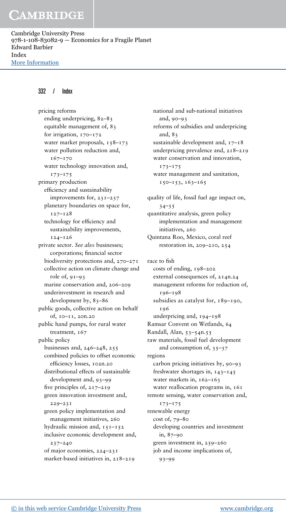Cambridge University Press 978-1-108-83082-9 — Economics for a Fragile Planet Edward Barbier Index [More Information](www.cambridge.org/9781108830829)

#### 332 / Index

pricing reforms ending underpricing, 82–83 equitable management of, 83 for irrigation, 170–172 water market proposals, 158–173 water pollution reduction and, 167–170 water technology innovation and, 173–175 primary production efficiency and sustainability improvements for, 231–237 planetary boundaries on space for, 127–128 technology for efficiency and sustainability improvements, 124–126 private sector. *See also* businesses; corporations; financial sector biodiversity protections and, 270–271 collective action on climate change and role of, 91–93 marine conservation and, 206–209 underinvestment in research and development by, 83–86 public goods, collective action on behalf of, 10–11, 20n.20 public hand pumps, for rural water treatment, 167 public policy businesses and, 246–248, 255 combined policies to offset economic efficiency losses, 102n.20 distributional effects of sustainable development and, 93–99 five principles of, 217–219 green innovation investment and, 229–231 green policy implementation and management initiatives, 260 hydraulic mission and,  $151-152$ inclusive economic development and, 237–240 of major economies, 224–231 market-based initiatives in, 218–219

national and sub-national initiatives and, 90–93 reforms of subsidies and underpricing and, 83 sustainable development and,  $17-18$ underpricing prevalence and, 218–219 water conservation and innovation, 173–175 water management and sanitation, 150–153, 163–165 quality of life, fossil fuel age impact on, 34–35 quantitative analysis, green policy implementation and management initiatives, 260 Quintana Roo, Mexico, coral reef restoration in, 209–210, 254 race to fish costs of ending, 198–202 external consequences of, 214n.24 management reforms for reduction of, 196–198 subsidies as catalyst for, 189–190, 196 underpricing and, 194–198 Ramsar Convent on Wetlands, 64 Randall, Alan, 53–54n.55 raw materials, fossil fuel development and consumption of,  $35-37$ regions carbon pricing initiatives by, 90–93 freshwater shortages in, 143–145 water markets in, 162-163 water reallocation programs in, 161 remote sensing, water conservation and, 173–175 renewable energy cost of, 79–80 developing countries and investment in, 87–90 green investment in, 259–260 job and income implications of, 93–99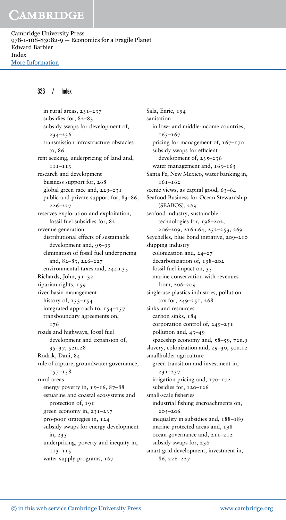Cambridge University Press 978-1-108-83082-9 — Economics for a Fragile Planet Edward Barbier Index [More Information](www.cambridge.org/9781108830829)

### 333 / Index

in rural areas, 231–237 subsidies for, 82–83 subsidy swaps for development of, 234–236 transmission infrastructure obstacles to, 86 rent seeking, underpricing of land and, 111–113 research and development business support for, 268 global green race and, 229–231 public and private support for, 83–86, 226–227 reserves exploration and exploitation, fossil fuel subsidies for, 82 revenue generation distributional effects of sustainable development and, 95–99 elimination of fossil fuel underpricing and, 82–83, 226–227 environmental taxes and, 244n.35 Richards, John, 31–32 riparian rights, 159 river basin management history of,  $153-154$ integrated approach to, 154–157 transboundary agreements on, 176 roads and highways, fossil fuel development and expansion of, 35–37, 52n.28 Rodrik, Dani, 84 rule of capture, groundwater governance,  $157 - 158$ rural areas energy poverty in,  $15-16$ ,  $87-88$ estuarine and coastal ecosystems and protection of, 191 green economy in, 231–237 pro-poor strategies in, 124 subsidy swaps for energy development in, 235 underpricing, poverty and inequity in, 113–115 water supply programs, 167

Sala, Enric, 194 sanitation in low- and middle-income countries,  $165 - 167$ pricing for management of,  $167-170$ subsidy swaps for efficient development of, 235–236 water management and,  $163-165$ Santa Fe, New Mexico, water banking in, 161–162 scenic views, as capital good, 63-64 Seafood Business for Ocean Stewardship (SEABOS), 269 seafood industry, sustainable technologies for, 198–202, 206–209, 216n.64, 252–253, 269 Seychelles, blue bond initiative, 209–210 shipping industry colonization and, 24–27 decarbonization of, 198–202 fossil fuel impact on, 35 marine conservation with revenues from, 206–209 single-use plastics industries, pollution tax for, 249–251, 268 sinks and resources carbon sinks, 184 corporation control of, 249–251 pollution and, 43–49 spaceship economy and, 58–59, 72n.9 slavery, colonization and, 29-30, 50n.12 smallholder agriculture green transition and investment in, 231–237 irrigation pricing and, 170–172 subsidies for, 120-126 small-scale fisheries industrial fishing encroachments on, 205–206 inequality in subsidies and, 188–189 marine protected areas and, 198 ocean governance and, 211–212 subsidy swaps for, 236 smart grid development, investment in, 86, 226–227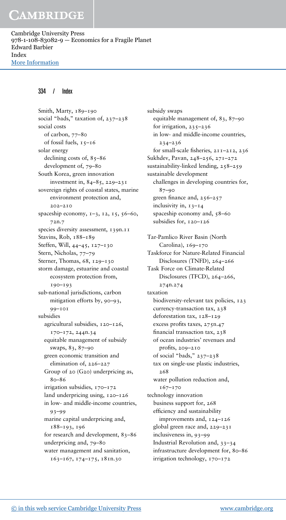Cambridge University Press 978-1-108-83082-9 — Economics for a Fragile Planet Edward Barbier Index [More Information](www.cambridge.org/9781108830829)

#### 334 / Index

Smith, Marty, 189-190 social "bads," taxation of, 237–238 social costs of carbon, 77–80 of fossil fuels, 15–16 solar energy declining costs of, 85-86 development of, 79–80 South Korea, green innovation investment in,  $84-85$ ,  $229-231$ sovereign rights of coastal states, marine environment protection and, 202–210 spaceship economy, 1-3, 12, 15, 56-60, 72n.7 species diversity assessment, 139n.11 Stavins, Rob, 188–189 Steffen, Will, 44–45, 127–130 Stern, Nicholas, 77–79 Sterner, Thomas, 68, 129–130 storm damage, estuarine and coastal ecosystem protection from, 190–193 sub-national jurisdictions, carbon mitigation efforts by, 90–93, 99–101 subsidies agricultural subsidies, 120–126, 170–172, 244n.34 equitable management of subsidy swaps, 83, 87–90 green economic transition and elimination of, 226–227 Group of 20 (G20) underpricing as, 80–86 irrigation subsidies, 170–172 land underpricing using, 120–126 in low- and middle-income countries, 93–99 marine capital underpricing and, 188–193, 196 for research and development, 83–86 underpricing and, 79–80 water management and sanitation, 163–167, 174–175, 181n.30

subsidy swaps equitable management of, 83, 87–90 for irrigation,  $235 - 236$ in low- and middle-income countries, 234–236 for small-scale fisheries, 211–212, 236 Sukhdev, Pavan, 248–256, 271–272 sustainability-linked lending, 258–259 sustainable development challenges in developing countries for, 87–90 green finance and, 256–257 inclusivity in, 13–14 spaceship economy and, 58–60 subsidies for, 120–126 Tar-Pamlico River Basin (North Carolina), 169-170 Taskforce for Nature-Related Financial Disclosures (TNFD), 264–266 Task Force on Climate-Related Disclosures (TFCD), 264–266, 274n.274 taxation biodiversity-relevant tax policies, 123 currency-transaction tax, 238 deforestation tax, 128–129 excess profits taxes, 275n.47 financial transaction tax, 238 of ocean industries' revenues and profits, 209–210 of social "bads," 237–238 tax on single-use plastic industries,  $268$ water pollution reduction and, 167–170 technology innovation business support for, 268 efficiency and sustainability improvements and, 124–126 global green race and, 229–231 inclusiveness in, 93–99 Industrial Revolution and, 33–34 infrastructure development for, 80–86 irrigation technology, 170–172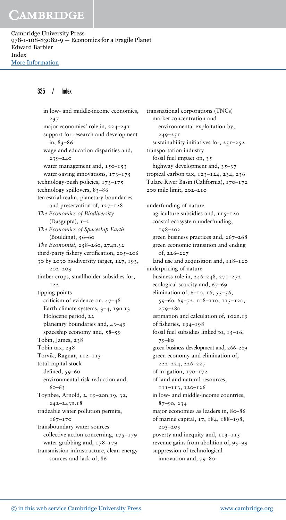Cambridge University Press 978-1-108-83082-9 — Economics for a Fragile Planet Edward Barbier Index [More Information](www.cambridge.org/9781108830829)

#### 335 / Index

in low- and middle-income economies, 237 major economies' role in, 224–231 support for research and development in, 83–86 wage and education disparities and, 239–240 water management and,  $150 - 153$ water-saving innovations, 173–175 technology-push policies, 173–175 technology spillovers, 83–86 terrestrial realm, planetary boundaries and preservation of, 127–128 *The Economics of Biodiversity* (Dasgupta), 1–2 *The Economics of Spaceship Earth* (Boulding),  $56-60$ *The Economist*, 258–260, 274n.32 third-party fishery certification, 205–206 30 by 2030 biodiversity target, 127, 193, 202–203 timber crops, smallholder subsidies for, 122 tipping points criticism of evidence on, 47–48 Earth climate systems, 3–4, 19n.13 Holocene period, 22 planetary boundaries and, 43–49 spaceship economy and, 58–59 Tobin, James, 238 Tobin tax, 238 Torvik, Ragnar, 112–113 total capital stock defined, 59–60 environmental risk reduction and, 60–63 Toynbee, Arnold, 2, 19–20n.19, 32, 242–243n.18 tradeable water pollution permits, 167–170 transboundary water sources collective action concerning, 175–179 water grabbing and, 178–179 transmission infrastructure, clean energy sources and lack of, 86

transnational corporations (TNCs) market concentration and environmental exploitation by, 249–251 sustainability initiatives for,  $25I-252$ transportation industry fossil fuel impact on, 35 highway development and, 35–37 tropical carbon tax, 123–124, 234, 236 Tulare River Basin (California), 170–172 200 mile limit, 202–210 underfunding of nature agriculture subsidies and, 115–120 coastal ecosystem underfunding, 198–202 green business practices and, 267–268 green economic transition and ending of, 226–227 land use and acquisition and,  $118-120$ underpricing of nature business role in, 246–248, 271–272 ecological scarcity and, 67–69 elimination of,  $6-10$ ,  $16$ ,  $55-56$ , 59–60, 69–72, 108–110, 115–120, 279–280 estimation and calculation of, 102n.19 of fisheries, 194–198 fossil fuel subsidies linked to,  $15-16$ , 79–80 green business development and, 266–269 green economy and elimination of, 222–224, 226–227 of irrigation, 170–172 of land and natural resources, 111–113, 120–126 in low- and middle-income countries, 87–90, 234 major economies as leaders in, 80–86 of marine capital, 17, 184, 188–198, 203–205 poverty and inequity and, 113–115 revenue gains from abolition of, 95–99 suppression of technological innovation and, 79–80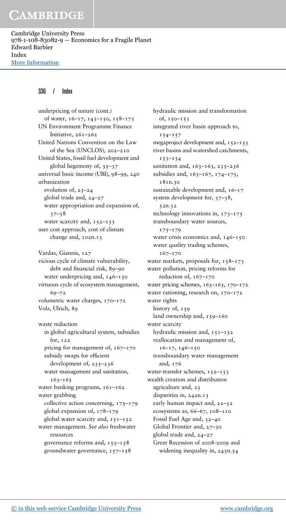Cambridge University Press 978-1-108-83082-9 — Economics for a Fragile Planet Edward Barbier Index [More Information](www.cambridge.org/9781108830829)

#### 336 / Index

underpricing of nature (cont.) of water, 16–17, 143–150, 158–173 UN Environment Programme Finance Initiative, 261–262 United Nations Convention on the Law of the Sea (UNCLOS), 202–210 United States, fossil fuel development and global hegemony of,  $35-37$ universal basic income (UBI), 98–99, 240 urbanization evolution of, 23–24 global trade and, 24–27 water appropriation and expansion of, 37–38 water scarcity and,  $152 - 153$ user cost approach, cost of climate change and, 102n.13 Vardas, Giannis, 127 vicious cycle of climate vulnerability, debt and financial risk, 89–90 water underpricing and, 146–150 virtuous cycle of ecosystem management, 69–72 volumetric water charges, 170–172 Volz, Ulrich, 89 waste reduction

in global agricultural system, subsidies for, 122 pricing for management of,  $167-170$ subsidy swaps for efficient development of,  $235 - 236$ water management and sanitation, 163–165 water banking programs,  $161 - 162$ water grabbing collective action concerning, 175–179 global expansion of, 178–179 global water scarcity and,  $151-152$ water management. *See also* freshwater resources governance reforms and,  $153-158$ groundwater governance, 157–158

hydraulic mission and transformation of, 150–153 integrated river basin approach to,  $154 - 157$ megaproject development and, 152–153 river basins and watershed catchments,  $153 - 154$ sanitation and,  $163 - 165$ ,  $235 - 236$ subsidies and, 163–167, 174–175, 181n.30 sustainable development and,  $16-17$ system development for, 37–38, 52n.32 technology innovations in, 173–175 transboundary water sources, 175–179 water crisis economics and, 146-150 water quality trading schemes, 167–170 water markets, proposals for, 158–173 water pollution, pricing reforms for reduction of, 167–170 water pricing schemes,  $163-165$ ,  $170-172$ water rationing, research on, 170–172 water rights history of, 159 land ownership and, 159-160 water scarcity hydraulic mission and,  $151 - 152$ reallocation and management of, 16–17, 146–150 transboundary water management and, 176 water-transfer schemes, 152-153 wealth creation and distribution agriculture and, 23 disparities in, 242n.13 early human impact and, 22–32 ecosystems as,  $66-67$ ,  $108-110$ Fossil Fuel Age and, 32–40 Global Frontier and, 27–30 global trade and, 24–27 Great Recession of 2008-2009 and widening inequality in, 245n.54